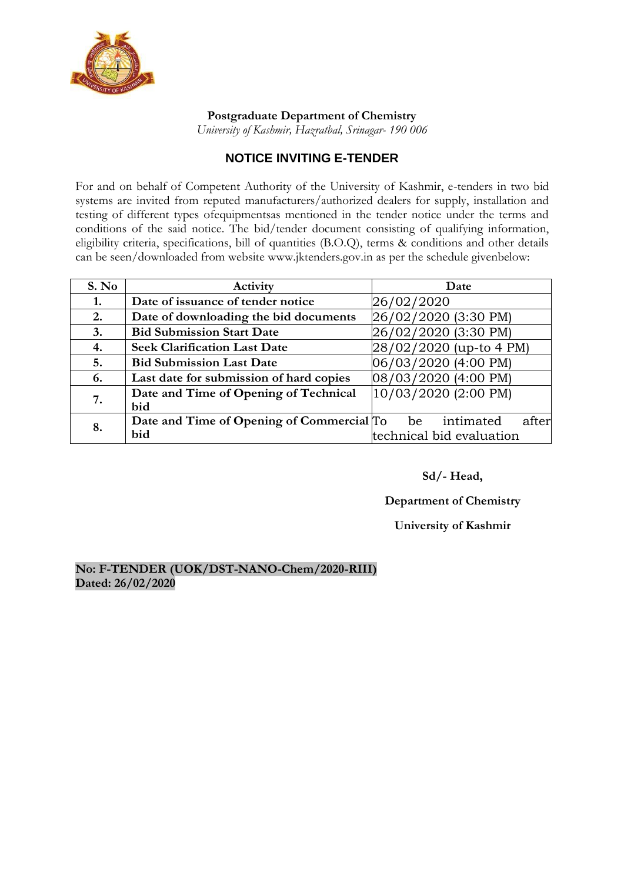

### **Postgraduate Department of Chemistry**

*University of Kashmir, Hazratbal, Srinagar- 190 006*

## **NOTICE INVITING E-TENDER**

For and on behalf of Competent Authority of the University of Kashmir, e-tenders in two bid systems are invited from reputed manufacturers/authorized dealers for supply, installation and testing of different types ofequipmentsas mentioned in the tender notice under the terms and conditions of the said notice. The bid/tender document consisting of qualifying information, eligibility criteria, specifications, bill of quantities (B.O.Q), terms & conditions and other details can be seen/downloaded from websi[te www.jktenders.gov.in a](http://www.jktenders.gov.in/)s per the schedule givenbelow:

| S. No | Activity                                  | Date                     |
|-------|-------------------------------------------|--------------------------|
| 1.    | Date of issuance of tender notice         | 26/02/2020               |
| 2.    | Date of downloading the bid documents     | 26/02/2020 (3:30 PM)     |
| 3.    | <b>Bid Submission Start Date</b>          | 26/02/2020 (3:30 PM)     |
| 4.    | <b>Seek Clarification Last Date</b>       | 28/02/2020 (up-to 4 PM)  |
| 5.    | <b>Bid Submission Last Date</b>           | 06/03/2020 (4:00 PM)     |
| 6.    | Last date for submission of hard copies   | 08/03/2020 (4:00 PM)     |
| 7.    | Date and Time of Opening of Technical     | 10/03/2020 (2:00 PM)     |
|       | bid                                       |                          |
| 8.    | Date and Time of Opening of Commercial To | intimated<br>after<br>be |
|       | bid                                       | technical bid evaluation |

## **Sd/- Head,**

### **Department of Chemistry**

### **University of Kashmir**

### **No: F-TENDER (UOK/DST-NANO-Chem/2020-RIII) Dated: 26/02/2020**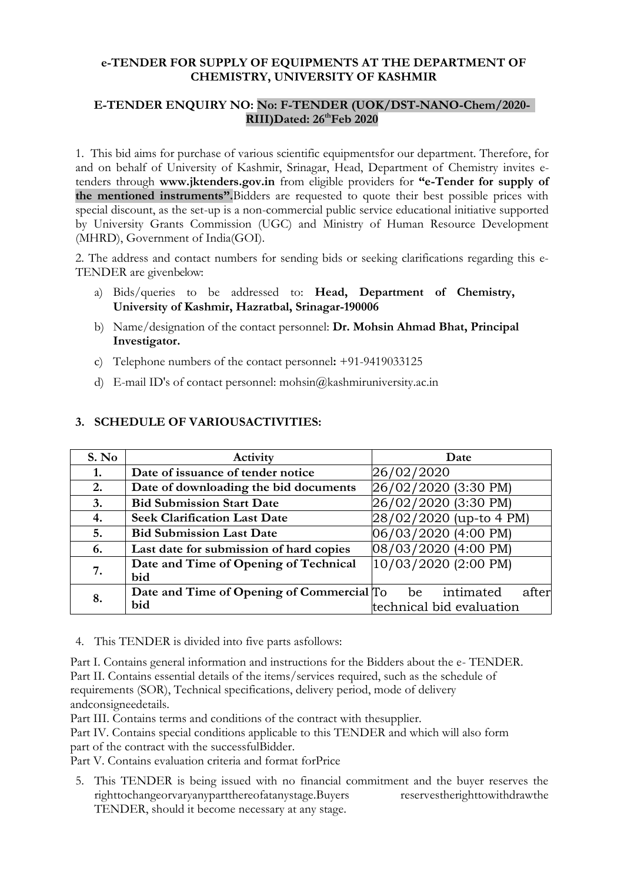### **e-TENDER FOR SUPPLY OF EQUIPMENTS AT THE DEPARTMENT OF CHEMISTRY, UNIVERSITY OF KASHMIR**

### **E-TENDER ENQUIRY NO: No: F-TENDER (UOK/DST-NANO-Chem/2020- RIII)Dated: 26thFeb 2020**

1. This bid aims for purchase of various scientific equipmentsfor our department. Therefore, for and on behalf of University of Kashmir, Srinagar, Head, Department of Chemistry invites etenders through **[www.jktenders.gov.in](http://www.jktenders.gov.in/)** from eligible providers for **"e-Tender for supply of the mentioned instruments".**Bidders are requested to quote their best possible prices with special discount, as the set-up is a non-commercial public service educational initiative supported by University Grants Commission (UGC) and Ministry of Human Resource Development (MHRD), Government of India(GOI).

2. The address and contact numbers for sending bids or seeking clarifications regarding this e-TENDER are givenbelow:

- a) Bids/queries to be addressed to: **Head, Department of Chemistry, University of Kashmir, Hazratbal, Srinagar-190006**
- b) Name/designation of the contact personnel: **Dr. Mohsin Ahmad Bhat, Principal Investigator.**
- c) Telephone numbers of the contact personnel**:** +91-9419033125
- d) E-mail ID's of contact personnel: mohsin@kashmiruniversity.ac.in

| S. No | Activity                                  | Date                     |
|-------|-------------------------------------------|--------------------------|
| 1.    | Date of issuance of tender notice         | 26/02/2020               |
| 2.    | Date of downloading the bid documents     | 26/02/2020 (3:30 PM)     |
| 3.    | <b>Bid Submission Start Date</b>          | 26/02/2020 (3:30 PM)     |
| 4.    | <b>Seek Clarification Last Date</b>       | 28/02/2020 (up-to 4 PM)  |
| 5.    | <b>Bid Submission Last Date</b>           | 06/03/2020 (4:00 PM)     |
| 6.    | Last date for submission of hard copies   | 08/03/2020 (4:00 PM)     |
| 7.    | Date and Time of Opening of Technical     | 10/03/2020 (2:00 PM)     |
|       | bid                                       |                          |
| 8.    | Date and Time of Opening of Commercial To | intimated<br>after<br>be |
|       | bid                                       | technical bid evaluation |

### **3. SCHEDULE OF VARIOUSACTIVITIES:**

4. This TENDER is divided into five parts asfollows:

Part I. Contains general information and instructions for the Bidders about the e- TENDER. Part II. Contains essential details of the items/services required, such as the schedule of requirements (SOR), Technical specifications, delivery period, mode of delivery andconsigneedetails.

Part III. Contains terms and conditions of the contract with thesupplier.

Part IV. Contains special conditions applicable to this TENDER and which will also form part of the contract with the successfulBidder.

Part V. Contains evaluation criteria and format forPrice

5. This TENDER is being issued with no financial commitment and the buyer reserves the righttochangeorvaryanypartthereofatanystage.Buyers reservestherighttowithdrawthe TENDER, should it become necessary at any stage.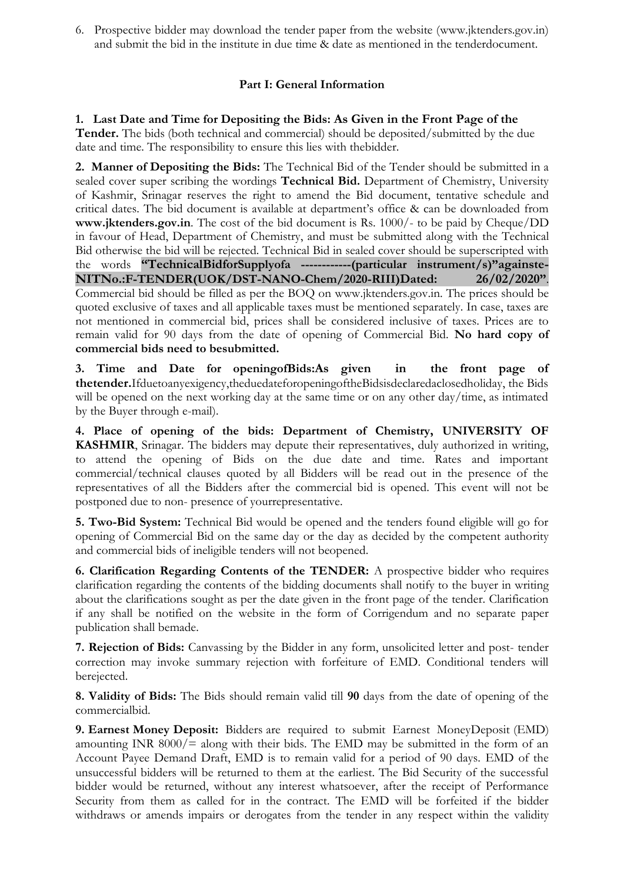6. Prospective bidder may download the tender paper from the website [\(www.jktenders.gov.in\)](http://www.jktenders.gov.in/) and submit the bid in the institute in due time & date as mentioned in the tenderdocument.

## **Part I: General Information**

## **1. Last Date and Time for Depositing the Bids: As Given in the Front Page of the**

**Tender.** The bids (both technical and commercial) should be deposited/submitted by the due date and time. The responsibility to ensure this lies with thebidder.

**2. Manner of Depositing the Bids:** The Technical Bid of the Tender should be submitted in a sealed cover super scribing the wordings **Technical Bid.** Department of Chemistry, University of Kashmir, Srinagar reserves the right to amend the Bid document, tentative schedule and critical dates. The bid document is available at department"s office & can be downloaded from **[www.jktenders.gov.in](http://www.jktenders.gov.in/)**. The cost of the bid document is Rs. 1000/- to be paid by Cheque/DD in favour of Head, Department of Chemistry, and must be submitted along with the Technical Bid otherwise the bid will be rejected. Technical Bid in sealed cover should be superscripted with the words **"TechnicalBidforSupplyofa ------------(particular instrument/s)"againste-NITNo.:F-TENDER(UOK/DST-NANO-Chem/2020-RIII)Dated: 26/02/2020"**. Commercial bid should be filled as per the BOQ on [www.jktenders.gov.in. T](http://www.jktenders.gov.in/)he prices should be quoted exclusive of taxes and all applicable taxes must be mentioned separately. In case, taxes are not mentioned in commercial bid, prices shall be considered inclusive of taxes. Prices are to remain valid for 90 days from the date of opening of Commercial Bid. **No hard copy of commercial bids need to besubmitted.**

**3. Time and Date for openingofBids:As given in the front page of thetender.**Ifduetoanyexigency,theduedateforopeningoftheBidsisdeclaredaclosedholiday, the Bids will be opened on the next working day at the same time or on any other day/time, as intimated by the Buyer through e-mail).

**4. Place of opening of the bids: Department of Chemistry, UNIVERSITY OF KASHMIR**, Srinagar. The bidders may depute their representatives, duly authorized in writing, to attend the opening of Bids on the due date and time. Rates and important commercial/technical clauses quoted by all Bidders will be read out in the presence of the representatives of all the Bidders after the commercial bid is opened. This event will not be postponed due to non- presence of yourrepresentative.

**5. Two-Bid System:** Technical Bid would be opened and the tenders found eligible will go for opening of Commercial Bid on the same day or the day as decided by the competent authority and commercial bids of ineligible tenders will not beopened.

**6. Clarification Regarding Contents of the TENDER:** A prospective bidder who requires clarification regarding the contents of the bidding documents shall notify to the buyer in writing about the clarifications sought as per the date given in the front page of the tender. Clarification if any shall be notified on the website in the form of Corrigendum and no separate paper publication shall bemade.

**7. Rejection of Bids:** Canvassing by the Bidder in any form, unsolicited letter and post- tender correction may invoke summary rejection with forfeiture of EMD. Conditional tenders will berejected.

**8. Validity of Bids:** The Bids should remain valid till **90** days from the date of opening of the commercialbid.

**9. Earnest Money Deposit:** Bidders are required to submit Earnest MoneyDeposit (EMD) amounting INR  $8000/=\text{along with their bids.}$  The EMD may be submitted in the form of an Account Payee Demand Draft, EMD is to remain valid for a period of 90 days. EMD of the unsuccessful bidders will be returned to them at the earliest. The Bid Security of the successful bidder would be returned, without any interest whatsoever, after the receipt of Performance Security from them as called for in the contract. The EMD will be forfeited if the bidder withdraws or amends impairs or derogates from the tender in any respect within the validity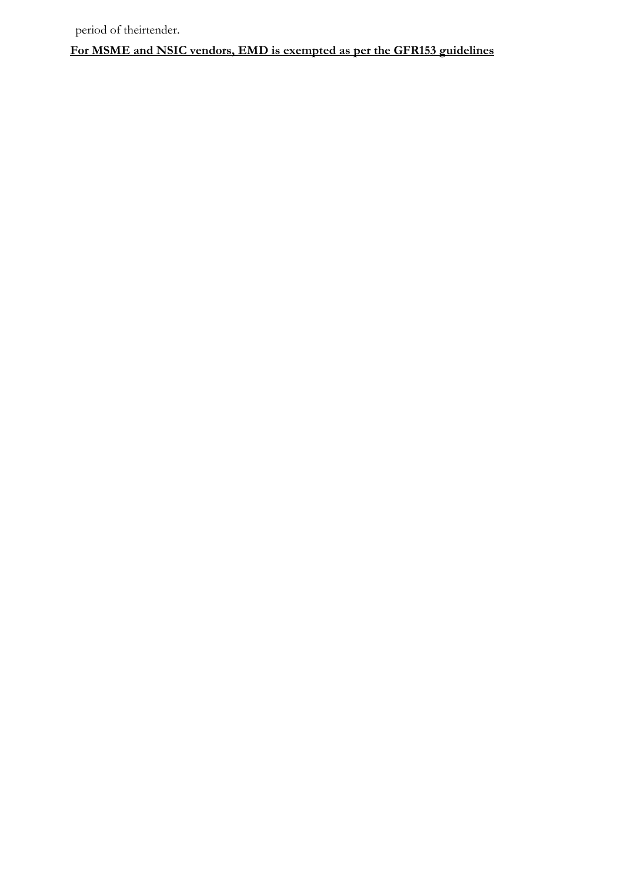**For MSME and NSIC vendors, EMD is exempted as per the GFR153 guidelines**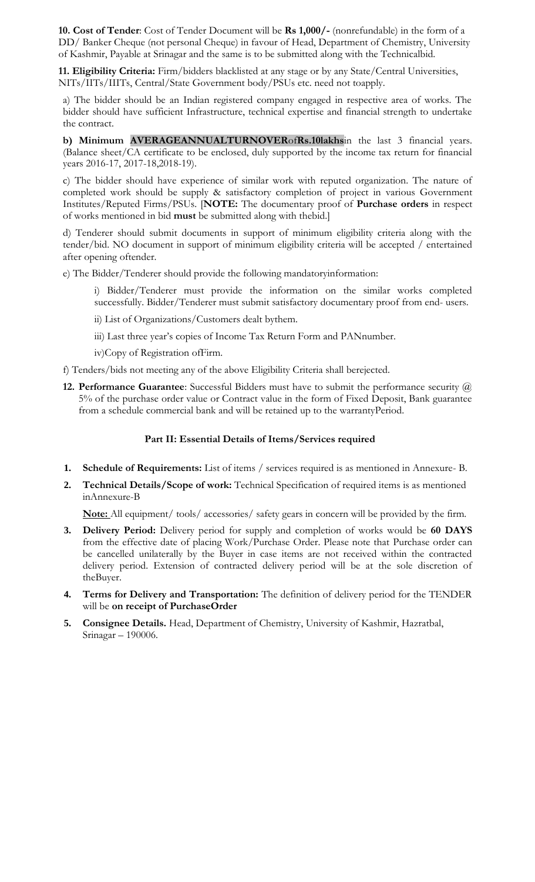**10. Cost of Tender**: Cost of Tender Document will be **Rs 1,000/-** (nonrefundable) in the form of a DD/ Banker Cheque (not personal Cheque) in favour of Head, Department of Chemistry, University of Kashmir, Payable at Srinagar and the same is to be submitted along with the Technicalbid.

**11. Eligibility Criteria:** Firm/bidders blacklisted at any stage or by any State/Central Universities, NITs/IITs/IIITs, Central/State Government body/PSUs etc. need not toapply.

a) The bidder should be an Indian registered company engaged in respective area of works. The bidder should have sufficient Infrastructure, technical expertise and financial strength to undertake the contract.

**b) Minimum AVERAGEANNUALTURNOVER**of**Rs.10lakhs**in the last 3 financial years. (Balance sheet/CA certificate to be enclosed, duly supported by the income tax return for financial years 2016-17, 2017-18,2018-19).

c) The bidder should have experience of similar work with reputed organization. The nature of completed work should be supply & satisfactory completion of project in various Government Institutes/Reputed Firms/PSUs. [**NOTE:** The documentary proof of **Purchase orders** in respect of works mentioned in bid **must** be submitted along with thebid.]

d) Tenderer should submit documents in support of minimum eligibility criteria along with the tender/bid. NO document in support of minimum eligibility criteria will be accepted / entertained after opening oftender.

e) The Bidder/Tenderer should provide the following mandatoryinformation:

- i) Bidder/Tenderer must provide the information on the similar works completed successfully. Bidder/Tenderer must submit satisfactory documentary proof from end- users.
- ii) List of Organizations/Customers dealt bythem.
- iii) Last three year's copies of Income Tax Return Form and PANnumber.
- iv)Copy of Registration ofFirm.

f) Tenders/bids not meeting any of the above Eligibility Criteria shall berejected.

**12. Performance Guarantee**: Successful Bidders must have to submit the performance security @ 5% of the purchase order value or Contract value in the form of Fixed Deposit, Bank guarantee from a schedule commercial bank and will be retained up to the warrantyPeriod.

### **Part II: Essential Details of Items/Services required**

- **1. Schedule of Requirements:** List of items / services required is as mentioned in Annexure- B.
- **2. Technical Details/Scope of work:** Technical Specification of required items is as mentioned inAnnexure-B

**Note:** All equipment/ tools/ accessories/ safety gears in concern will be provided by the firm.

- **3. Delivery Period:** Delivery period for supply and completion of works would be **60 DAYS**  from the effective date of placing Work/Purchase Order. Please note that Purchase order can be cancelled unilaterally by the Buyer in case items are not received within the contracted delivery period. Extension of contracted delivery period will be at the sole discretion of theBuyer.
- **4. Terms for Delivery and Transportation:** The definition of delivery period for the TENDER will be **on receipt of PurchaseOrder**
- **5. Consignee Details.** Head, Department of Chemistry, University of Kashmir, Hazratbal, Srinagar – 190006.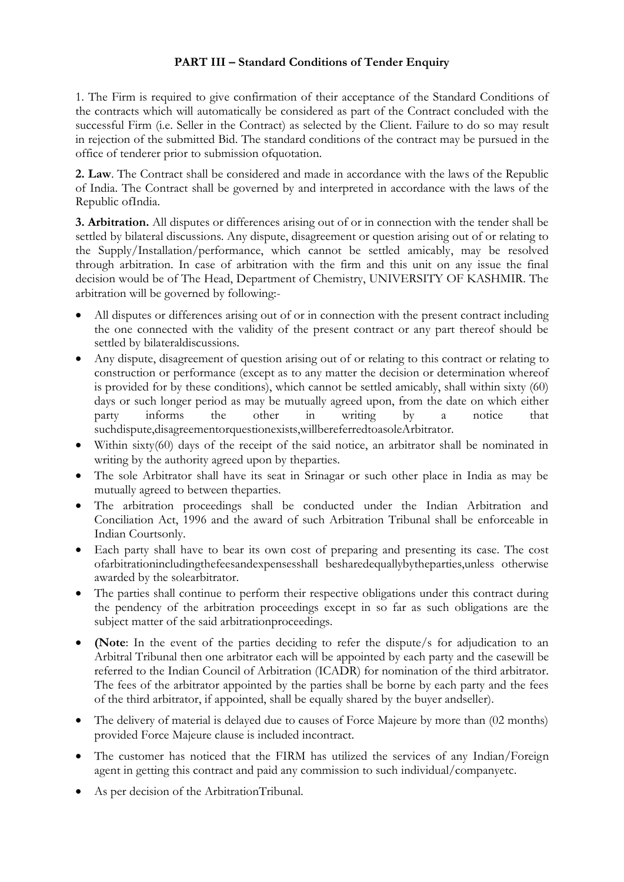## **PART III – Standard Conditions of Tender Enquiry**

1. The Firm is required to give confirmation of their acceptance of the Standard Conditions of the contracts which will automatically be considered as part of the Contract concluded with the successful Firm (i.e. Seller in the Contract) as selected by the Client. Failure to do so may result in rejection of the submitted Bid. The standard conditions of the contract may be pursued in the office of tenderer prior to submission ofquotation.

**2. Law**. The Contract shall be considered and made in accordance with the laws of the Republic of India. The Contract shall be governed by and interpreted in accordance with the laws of the Republic ofIndia.

**3. Arbitration.** All disputes or differences arising out of or in connection with the tender shall be settled by bilateral discussions. Any dispute, disagreement or question arising out of or relating to the Supply/Installation/performance, which cannot be settled amicably, may be resolved through arbitration. In case of arbitration with the firm and this unit on any issue the final decision would be of The Head, Department of Chemistry, UNIVERSITY OF KASHMIR. The arbitration will be governed by following:-

- All disputes or differences arising out of or in connection with the present contract including the one connected with the validity of the present contract or any part thereof should be settled by bilateraldiscussions.
- Any dispute, disagreement of question arising out of or relating to this contract or relating to construction or performance (except as to any matter the decision or determination whereof is provided for by these conditions), which cannot be settled amicably, shall within sixty (60) days or such longer period as may be mutually agreed upon, from the date on which either party informs the other in writing by a notice that suchdispute,disagreementorquestionexists,willbereferredtoasoleArbitrator.
- Within sixty(60) days of the receipt of the said notice, an arbitrator shall be nominated in writing by the authority agreed upon by theparties.
- The sole Arbitrator shall have its seat in Srinagar or such other place in India as may be mutually agreed to between theparties.
- The arbitration proceedings shall be conducted under the Indian Arbitration and Conciliation Act, 1996 and the award of such Arbitration Tribunal shall be enforceable in Indian Courtsonly.
- Each party shall have to bear its own cost of preparing and presenting its case. The cost ofarbitrationincludingthefeesandexpensesshall besharedequallybytheparties,unless otherwise awarded by the solearbitrator.
- The parties shall continue to perform their respective obligations under this contract during the pendency of the arbitration proceedings except in so far as such obligations are the subject matter of the said arbitrationproceedings.
- **(Note**: In the event of the parties deciding to refer the dispute/s for adjudication to an Arbitral Tribunal then one arbitrator each will be appointed by each party and the casewill be referred to the Indian Council of Arbitration (ICADR) for nomination of the third arbitrator. The fees of the arbitrator appointed by the parties shall be borne by each party and the fees of the third arbitrator, if appointed, shall be equally shared by the buyer andseller).
- The delivery of material is delayed due to causes of Force Majeure by more than (02 months) provided Force Majeure clause is included incontract.
- The customer has noticed that the FIRM has utilized the services of any Indian/Foreign agent in getting this contract and paid any commission to such individual/companyetc.
- As per decision of the ArbitrationTribunal.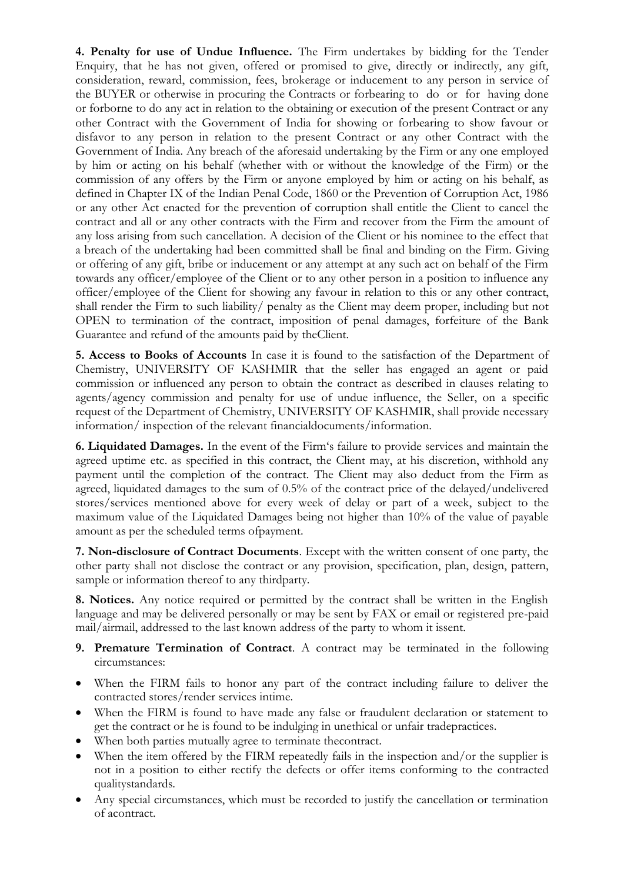**4. Penalty for use of Undue Influence.** The Firm undertakes by bidding for the Tender Enquiry, that he has not given, offered or promised to give, directly or indirectly, any gift, consideration, reward, commission, fees, brokerage or inducement to any person in service of the BUYER or otherwise in procuring the Contracts or forbearing to do or for having done or forborne to do any act in relation to the obtaining or execution of the present Contract or any other Contract with the Government of India for showing or forbearing to show favour or disfavor to any person in relation to the present Contract or any other Contract with the Government of India. Any breach of the aforesaid undertaking by the Firm or any one employed by him or acting on his behalf (whether with or without the knowledge of the Firm) or the commission of any offers by the Firm or anyone employed by him or acting on his behalf, as defined in Chapter IX of the Indian Penal Code, 1860 or the Prevention of Corruption Act, 1986 or any other Act enacted for the prevention of corruption shall entitle the Client to cancel the contract and all or any other contracts with the Firm and recover from the Firm the amount of any loss arising from such cancellation. A decision of the Client or his nominee to the effect that a breach of the undertaking had been committed shall be final and binding on the Firm. Giving or offering of any gift, bribe or inducement or any attempt at any such act on behalf of the Firm towards any officer/employee of the Client or to any other person in a position to influence any officer/employee of the Client for showing any favour in relation to this or any other contract, shall render the Firm to such liability/ penalty as the Client may deem proper, including but not OPEN to termination of the contract, imposition of penal damages, forfeiture of the Bank Guarantee and refund of the amounts paid by theClient.

**5. Access to Books of Accounts** In case it is found to the satisfaction of the Department of Chemistry, UNIVERSITY OF KASHMIR that the seller has engaged an agent or paid commission or influenced any person to obtain the contract as described in clauses relating to agents/agency commission and penalty for use of undue influence, the Seller, on a specific request of the Department of Chemistry, UNIVERSITY OF KASHMIR, shall provide necessary information/ inspection of the relevant financialdocuments/information.

**6. Liquidated Damages.** In the event of the Firm"s failure to provide services and maintain the agreed uptime etc. as specified in this contract, the Client may, at his discretion, withhold any payment until the completion of the contract. The Client may also deduct from the Firm as agreed, liquidated damages to the sum of 0.5% of the contract price of the delayed/undelivered stores/services mentioned above for every week of delay or part of a week, subject to the maximum value of the Liquidated Damages being not higher than 10% of the value of payable amount as per the scheduled terms ofpayment.

**7. Non-disclosure of Contract Documents**. Except with the written consent of one party, the other party shall not disclose the contract or any provision, specification, plan, design, pattern, sample or information thereof to any thirdparty.

**8. Notices.** Any notice required or permitted by the contract shall be written in the English language and may be delivered personally or may be sent by FAX or email or registered pre-paid mail/airmail, addressed to the last known address of the party to whom it issent.

- **9. Premature Termination of Contract**. A contract may be terminated in the following circumstances:
- When the FIRM fails to honor any part of the contract including failure to deliver the contracted stores/render services intime.
- When the FIRM is found to have made any false or fraudulent declaration or statement to get the contract or he is found to be indulging in unethical or unfair tradepractices.
- When both parties mutually agree to terminate thecontract.
- When the item offered by the FIRM repeatedly fails in the inspection and/or the supplier is not in a position to either rectify the defects or offer items conforming to the contracted qualitystandards.
- Any special circumstances, which must be recorded to justify the cancellation or termination of acontract.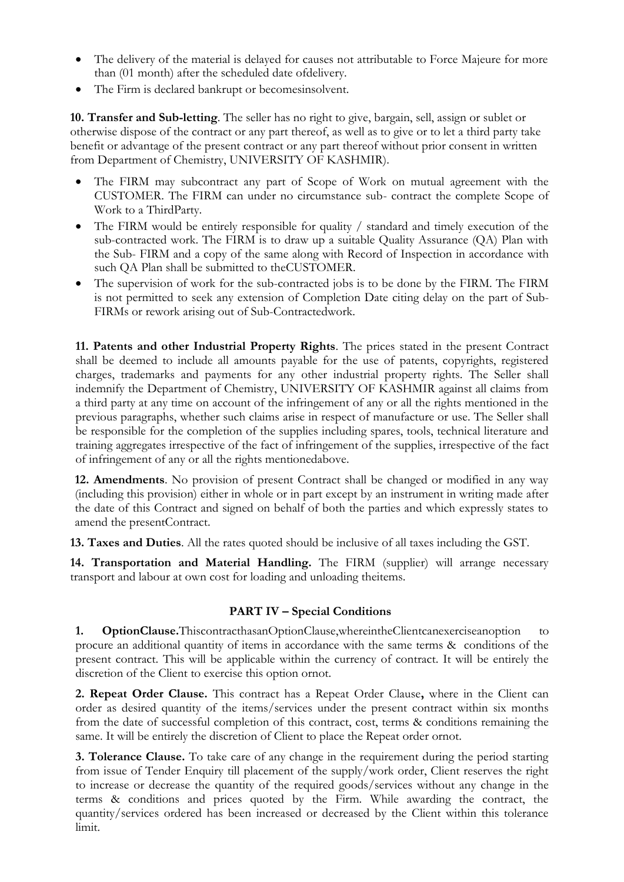- The delivery of the material is delayed for causes not attributable to Force Majeure for more than (01 month) after the scheduled date ofdelivery.
- The Firm is declared bankrupt or becomesinsolvent.

**10. Transfer and Sub-letting**. The seller has no right to give, bargain, sell, assign or sublet or otherwise dispose of the contract or any part thereof, as well as to give or to let a third party take benefit or advantage of the present contract or any part thereof without prior consent in written from Department of Chemistry, UNIVERSITY OF KASHMIR).

- The FIRM may subcontract any part of Scope of Work on mutual agreement with the CUSTOMER. The FIRM can under no circumstance sub- contract the complete Scope of Work to a ThirdParty.
- The FIRM would be entirely responsible for quality / standard and timely execution of the sub-contracted work. The FIRM is to draw up a suitable Quality Assurance (QA) Plan with the Sub- FIRM and a copy of the same along with Record of Inspection in accordance with such QA Plan shall be submitted to theCUSTOMER.
- The supervision of work for the sub-contracted jobs is to be done by the FIRM. The FIRM is not permitted to seek any extension of Completion Date citing delay on the part of Sub-FIRMs or rework arising out of Sub-Contractedwork.

**11. Patents and other Industrial Property Rights**. The prices stated in the present Contract shall be deemed to include all amounts payable for the use of patents, copyrights, registered charges, trademarks and payments for any other industrial property rights. The Seller shall indemnify the Department of Chemistry, UNIVERSITY OF KASHMIR against all claims from a third party at any time on account of the infringement of any or all the rights mentioned in the previous paragraphs, whether such claims arise in respect of manufacture or use. The Seller shall be responsible for the completion of the supplies including spares, tools, technical literature and training aggregates irrespective of the fact of infringement of the supplies, irrespective of the fact of infringement of any or all the rights mentionedabove.

**12. Amendments**. No provision of present Contract shall be changed or modified in any way (including this provision) either in whole or in part except by an instrument in writing made after the date of this Contract and signed on behalf of both the parties and which expressly states to amend the presentContract.

**13. Taxes and Duties**. All the rates quoted should be inclusive of all taxes including the GST.

**14. Transportation and Material Handling.** The FIRM (supplier) will arrange necessary transport and labour at own cost for loading and unloading theitems.

## **PART IV – Special Conditions**

**1. OptionClause.**ThiscontracthasanOptionClause,whereintheClientcanexerciseanoption to procure an additional quantity of items in accordance with the same terms & conditions of the present contract. This will be applicable within the currency of contract. It will be entirely the discretion of the Client to exercise this option ornot.

**2. Repeat Order Clause.** This contract has a Repeat Order Clause**,** where in the Client can order as desired quantity of the items/services under the present contract within six months from the date of successful completion of this contract, cost, terms & conditions remaining the same. It will be entirely the discretion of Client to place the Repeat order ornot.

**3. Tolerance Clause.** To take care of any change in the requirement during the period starting from issue of Tender Enquiry till placement of the supply/work order, Client reserves the right to increase or decrease the quantity of the required goods/services without any change in the terms & conditions and prices quoted by the Firm. While awarding the contract, the quantity/services ordered has been increased or decreased by the Client within this tolerance limit.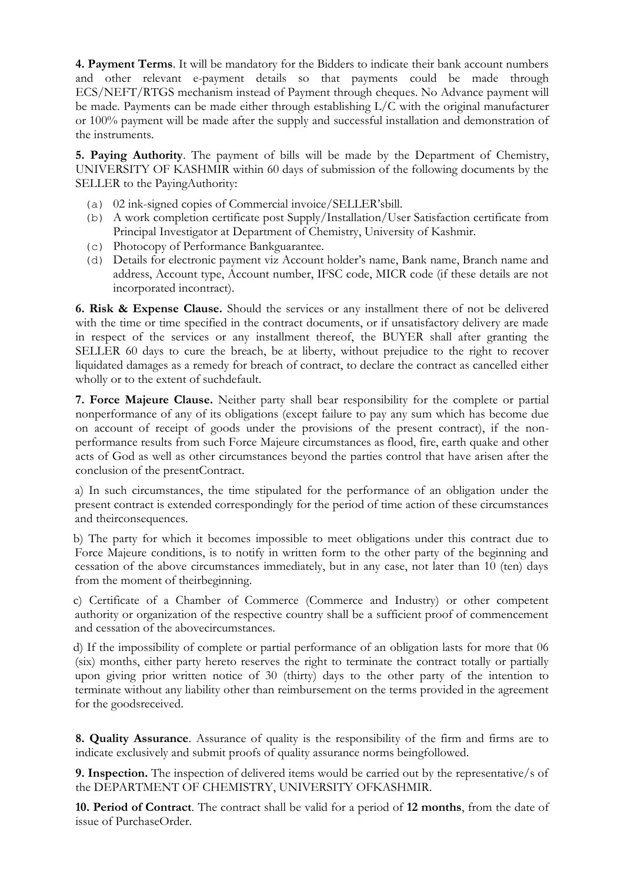**4. Payment Terms**. It will be mandatory for the Bidders to indicate their bank account numbers and other relevant e-payment details so that payments could be made through ECS/NEFT/RTGS mechanism instead of Payment through cheques. No Advance payment will be made. Payments can be made either through establishing L/C with the original manufacturer or 100% payment will be made after the supply and successful installation and demonstration of the instruments.

**5. Paying Authority**. The payment of bills will be made by the Department of Chemistry, UNIVERSITY OF KASHMIR within 60 days of submission of the following documents by the SELLER to the PayingAuthority:

- (a) 02 ink-signed copies of Commercial invoice/SELLER"sbill.
- (b) A work completion certificate post Supply/Installation/User Satisfaction certificate from Principal Investigator at Department of Chemistry, University of Kashmir.
- (c) Photocopy of Performance Bankguarantee.
- (d) Details for electronic payment viz Account holder"s name, Bank name, Branch name and address, Account type, Account number, IFSC code, MICR code (if these details are not incorporated incontract).

**6. Risk & Expense Clause.** Should the services or any installment there of not be delivered with the time or time specified in the contract documents, or if unsatisfactory delivery are made in respect of the services or any installment thereof, the BUYER shall after granting the SELLER 60 days to cure the breach, be at liberty, without prejudice to the right to recover liquidated damages as a remedy for breach of contract, to declare the contract as cancelled either wholly or to the extent of suchdefault.

**7. Force Majeure Clause.** Neither party shall bear responsibility for the complete or partial nonperformance of any of its obligations (except failure to pay any sum which has become due on account of receipt of goods under the provisions of the present contract), if the nonperformance results from such Force Majeure circumstances as flood, fire, earth quake and other acts of God as well as other circumstances beyond the parties control that have arisen after the conclusion of the presentContract.

a) In such circumstances, the time stipulated for the performance of an obligation under the present contract is extended correspondingly for the period of time action of these circumstances and theirconsequences.

b) The party for which it becomes impossible to meet obligations under this contract due to Force Majeure conditions, is to notify in written form to the other party of the beginning and cessation of the above circumstances immediately, but in any case, not later than 10 (ten) days from the moment of theirbeginning.

c) Certificate of a Chamber of Commerce (Commerce and Industry) or other competent authority or organization of the respective country shall be a sufficient proof of commencement and cessation of the abovecircumstances.

d) If the impossibility of complete or partial performance of an obligation lasts for more that 06 (six) months, either party hereto reserves the right to terminate the contract totally or partially upon giving prior written notice of 30 (thirty) days to the other party of the intention to terminate without any liability other than reimbursement on the terms provided in the agreement for the goodsreceived.

**8. Quality Assurance**. Assurance of quality is the responsibility of the firm and firms are to indicate exclusively and submit proofs of quality assurance norms beingfollowed.

**9. Inspection.** The inspection of delivered items would be carried out by the representative/s of the DEPARTMENT OF CHEMISTRY, UNIVERSITY OFKASHMIR.

**10. Period of Contract**. The contract shall be valid for a period of **12 months**, from the date of issue of PurchaseOrder.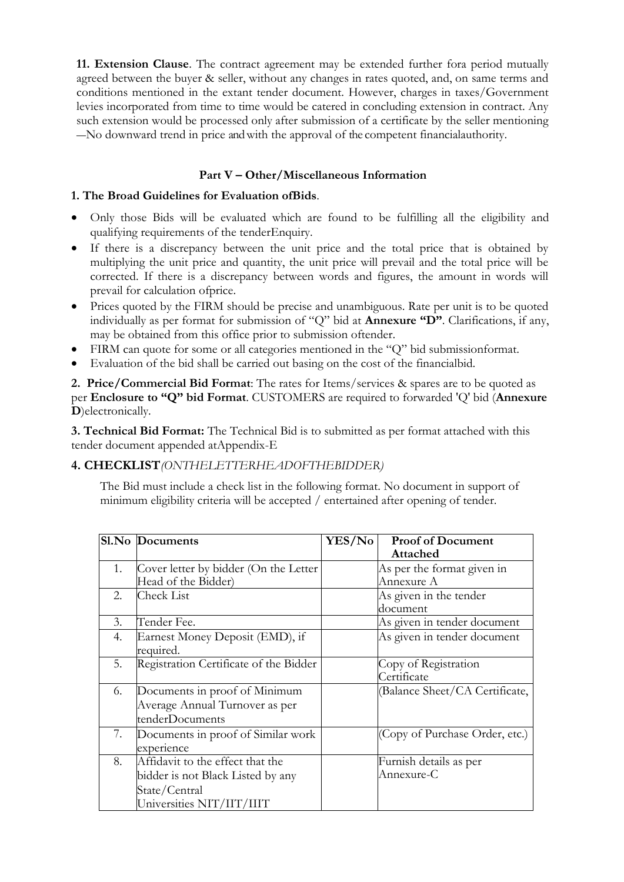**11. Extension Clause**. The contract agreement may be extended further fora period mutually agreed between the buyer & seller, without any changes in rates quoted, and, on same terms and conditions mentioned in the extant tender document. However, charges in taxes/Government levies incorporated from time to time would be catered in concluding extension in contract. Any such extension would be processed only after submission of a certificate by the seller mentioning ―No downward trend in price and with the approval of the competent financialauthority.

## **Part V – Other/Miscellaneous Information**

### **1. The Broad Guidelines for Evaluation ofBids**.

- Only those Bids will be evaluated which are found to be fulfilling all the eligibility and qualifying requirements of the tenderEnquiry.
- If there is a discrepancy between the unit price and the total price that is obtained by multiplying the unit price and quantity, the unit price will prevail and the total price will be corrected. If there is a discrepancy between words and figures, the amount in words will prevail for calculation ofprice.
- Prices quoted by the FIRM should be precise and unambiguous. Rate per unit is to be quoted individually as per format for submission of "Q" bid at **Annexure "D"**. Clarifications, if any, may be obtained from this office prior to submission oftender.
- FIRM can quote for some or all categories mentioned in the "Q" bid submissionformat.
- Evaluation of the bid shall be carried out basing on the cost of the financialbid.

**2. Price/Commercial Bid Format**: The rates for Items/services & spares are to be quoted as per **Enclosure to "Q" bid Format**. CUSTOMERS are required to forwarded 'Q' bid (**Annexure D**)electronically.

**3. Technical Bid Format:** The Technical Bid is to submitted as per format attached with this tender document appended atAppendix-E

## **4. CHECKLIST***(ONTHELETTERHEADOFTHEBIDDER)*

The Bid must include a check list in the following format. No document in support of minimum eligibility criteria will be accepted / entertained after opening of tender.

|    | Sl.No Documents                                                                                                     | <b>YES/No</b> | <b>Proof of Document</b><br>Attached     |
|----|---------------------------------------------------------------------------------------------------------------------|---------------|------------------------------------------|
| 1. | Cover letter by bidder (On the Letter<br>Head of the Bidder)                                                        |               | As per the format given in<br>Annexure A |
| 2. | <b>Check List</b>                                                                                                   |               | As given in the tender<br>document       |
| 3. | Tender Fee.                                                                                                         |               | As given in tender document              |
| 4. | Earnest Money Deposit (EMD), if<br>required.                                                                        |               | As given in tender document              |
| 5. | Registration Certificate of the Bidder                                                                              |               | Copy of Registration<br>Certificate      |
| 6. | Documents in proof of Minimum<br>Average Annual Turnover as per<br>tenderDocuments                                  |               | (Balance Sheet/CA Certificate,           |
| 7. | Documents in proof of Similar work<br>experience                                                                    |               | (Copy of Purchase Order, etc.)           |
| 8. | Affidavit to the effect that the<br>bidder is not Black Listed by any<br>State/Central<br>Universities NIT/IIT/IIIT |               | Furnish details as per<br>Annexure-C     |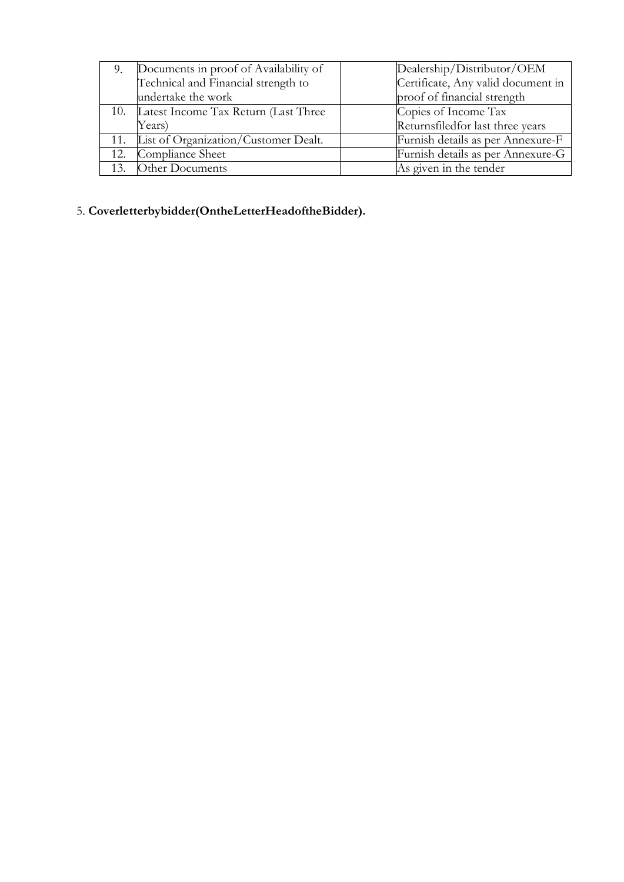| 9.  | Documents in proof of Availability of                                     | Dealership/Distributor/OEM        |
|-----|---------------------------------------------------------------------------|-----------------------------------|
|     | Certificate, Any valid document in<br>Technical and Financial strength to |                                   |
|     | undertake the work                                                        | proof of financial strength       |
|     | 10. Latest Income Tax Return (Last Three                                  | Copies of Income Tax              |
|     | Years)                                                                    | Returnsfiled for last three years |
|     | 11. List of Organization/Customer Dealt.                                  | Furnish details as per Annexure-F |
|     | 12. Compliance Sheet                                                      | Furnish details as per Annexure-G |
| 13. | Other Documents                                                           | As given in the tender            |

## 5. **Coverletterbybidder(OntheLetterHeadoftheBidder).**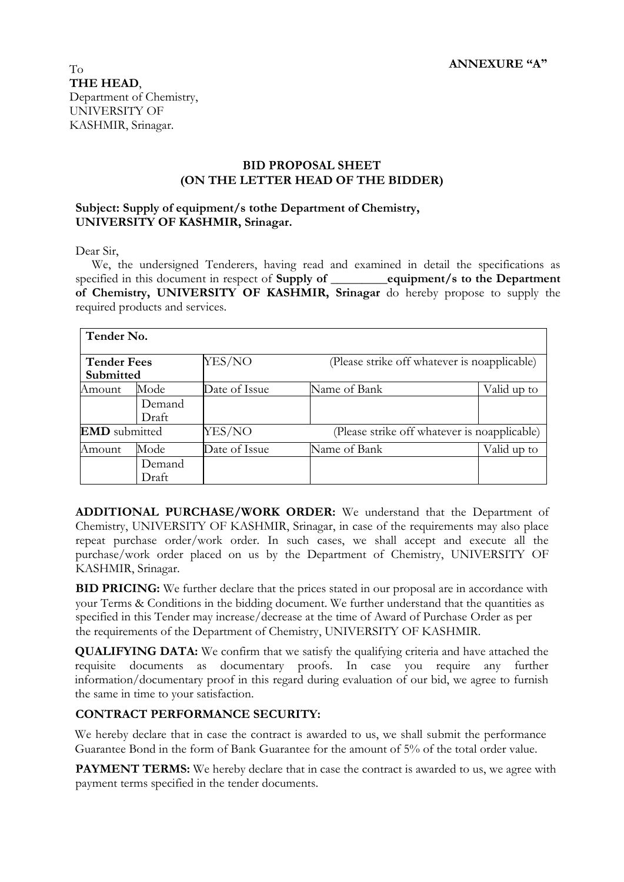#### **BID PROPOSAL SHEET (ON THE LETTER HEAD OF THE BIDDER)**

#### **Subject: Supply of equipment/s tothe Department of Chemistry, UNIVERSITY OF KASHMIR, Srinagar.**

Dear Sir,

We, the undersigned Tenderers, having read and examined in detail the specifications as specified in this document in respect of **Supply of \_\_\_\_\_\_\_\_\_equipment/s to the Department of Chemistry, UNIVERSITY OF KASHMIR, Srinagar** do hereby propose to supply the required products and services.

| Tender No.                      |                 |               |                                              |             |
|---------------------------------|-----------------|---------------|----------------------------------------------|-------------|
| <b>Tender Fees</b><br>Submitted |                 | YES/NO        | (Please strike off whatever is noapplicable) |             |
| Amount                          | Mode            | Date of Issue | Name of Bank                                 | Valid up to |
|                                 | Demand<br>Draft |               |                                              |             |
| <b>EMD</b> submitted            |                 | YES/NO        | (Please strike off whatever is noapplicable) |             |
| Amount                          | Mode            | Date of Issue | Name of Bank                                 | Valid up to |
|                                 | Demand<br>Draft |               |                                              |             |

**ADDITIONAL PURCHASE/WORK ORDER:** We understand that the Department of Chemistry, UNIVERSITY OF KASHMIR, Srinagar, in case of the requirements may also place repeat purchase order/work order. In such cases, we shall accept and execute all the purchase/work order placed on us by the Department of Chemistry, UNIVERSITY OF KASHMIR, Srinagar.

**BID PRICING:** We further declare that the prices stated in our proposal are in accordance with your Terms & Conditions in the bidding document. We further understand that the quantities as specified in this Tender may increase/decrease at the time of Award of Purchase Order as per the requirements of the Department of Chemistry, UNIVERSITY OF KASHMIR.

**QUALIFYING DATA:** We confirm that we satisfy the qualifying criteria and have attached the requisite documents as documentary proofs. In case you require any further information/documentary proof in this regard during evaluation of our bid, we agree to furnish the same in time to your satisfaction.

#### **CONTRACT PERFORMANCE SECURITY:**

We hereby declare that in case the contract is awarded to us, we shall submit the performance Guarantee Bond in the form of Bank Guarantee for the amount of 5% of the total order value.

**PAYMENT TERMS:** We hereby declare that in case the contract is awarded to us, we agree with payment terms specified in the tender documents.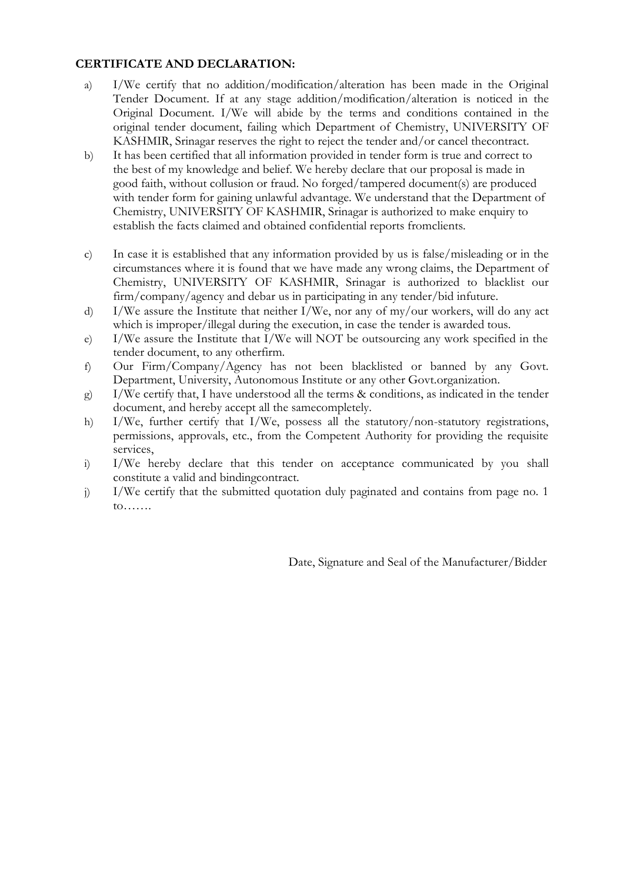## **CERTIFICATE AND DECLARATION:**

- a) I/We certify that no addition/modification/alteration has been made in the Original Tender Document. If at any stage addition/modification/alteration is noticed in the Original Document. I/We will abide by the terms and conditions contained in the original tender document, failing which Department of Chemistry, UNIVERSITY OF KASHMIR, Srinagar reserves the right to reject the tender and/or cancel thecontract.
- b) It has been certified that all information provided in tender form is true and correct to the best of my knowledge and belief. We hereby declare that our proposal is made in good faith, without collusion or fraud. No forged/tampered document(s) are produced with tender form for gaining unlawful advantage. We understand that the Department of Chemistry, UNIVERSITY OF KASHMIR, Srinagar is authorized to make enquiry to establish the facts claimed and obtained confidential reports fromclients.
- c) In case it is established that any information provided by us is false/misleading or in the circumstances where it is found that we have made any wrong claims, the Department of Chemistry, UNIVERSITY OF KASHMIR, Srinagar is authorized to blacklist our firm/company/agency and debar us in participating in any tender/bid infuture.
- d) I/We assure the Institute that neither I/We, nor any of my/our workers, will do any act which is improper/illegal during the execution, in case the tender is awarded tous.
- e) I/We assure the Institute that I/We will NOT be outsourcing any work specified in the tender document, to any otherfirm.
- f) Our Firm/Company/Agency has not been blacklisted or banned by any Govt. Department, University, Autonomous Institute or any other Govt.organization.
- g) I/We certify that, I have understood all the terms & conditions, as indicated in the tender document, and hereby accept all the samecompletely.
- h) I/We, further certify that I/We, possess all the statutory/non-statutory registrations, permissions, approvals, etc., from the Competent Authority for providing the requisite services,
- i) I/We hereby declare that this tender on acceptance communicated by you shall constitute a valid and bindingcontract.
- j) I/We certify that the submitted quotation duly paginated and contains from page no. 1 to…….

Date, Signature and Seal of the Manufacturer/Bidder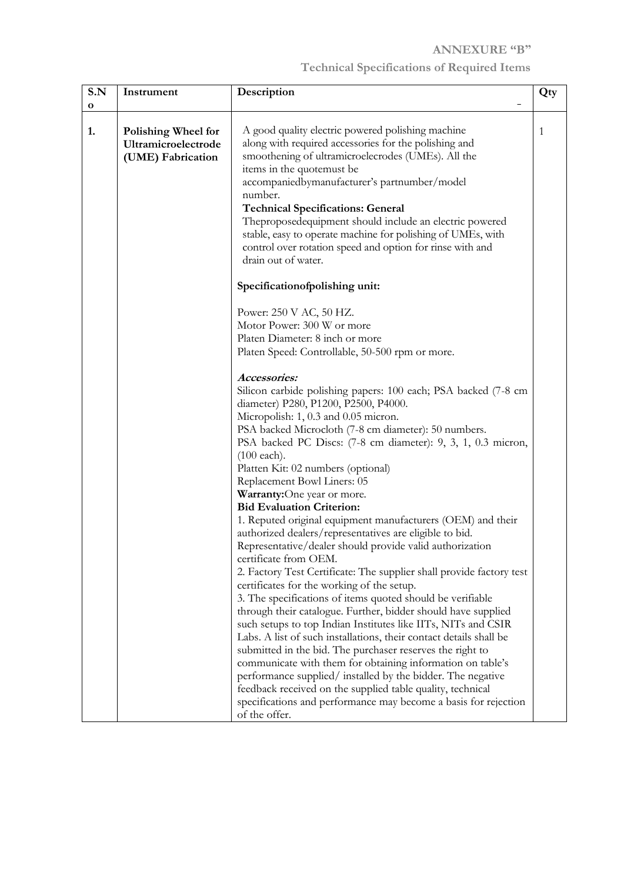## **ANNEXURE "B"**

# **Technical Specifications of Required Items**

| S.N         | Instrument                 | Description                                                                                                                         | Qty |
|-------------|----------------------------|-------------------------------------------------------------------------------------------------------------------------------------|-----|
| $\mathbf o$ |                            |                                                                                                                                     |     |
| 1.          | <b>Polishing Wheel for</b> | A good quality electric powered polishing machine                                                                                   | 1   |
|             | Ultramicroelectrode        | along with required accessories for the polishing and                                                                               |     |
|             | (UME) Fabrication          | smoothening of ultramicroelecrodes (UMEs). All the                                                                                  |     |
|             |                            | items in the quotemust be                                                                                                           |     |
|             |                            | accompaniedbymanufacturer's partnumber/model                                                                                        |     |
|             |                            | number.                                                                                                                             |     |
|             |                            | <b>Technical Specifications: General</b>                                                                                            |     |
|             |                            | Theproposedequipment should include an electric powered                                                                             |     |
|             |                            | stable, easy to operate machine for polishing of UMEs, with                                                                         |     |
|             |                            | control over rotation speed and option for rinse with and                                                                           |     |
|             |                            | drain out of water.                                                                                                                 |     |
|             |                            | Specificationofpolishing unit:                                                                                                      |     |
|             |                            | Power: 250 V AC, 50 HZ.                                                                                                             |     |
|             |                            | Motor Power: 300 W or more                                                                                                          |     |
|             |                            | Platen Diameter: 8 inch or more                                                                                                     |     |
|             |                            | Platen Speed: Controllable, 50-500 rpm or more.                                                                                     |     |
|             |                            |                                                                                                                                     |     |
|             |                            | Accessories:                                                                                                                        |     |
|             |                            | Silicon carbide polishing papers: 100 each; PSA backed (7-8 cm                                                                      |     |
|             |                            | diameter) P280, P1200, P2500, P4000.                                                                                                |     |
|             |                            | Micropolish: 1, 0.3 and 0.05 micron.                                                                                                |     |
|             |                            | PSA backed Microcloth (7-8 cm diameter): 50 numbers.                                                                                |     |
|             |                            | PSA backed PC Discs: (7-8 cm diameter): 9, 3, 1, 0.3 micron,<br>$(100$ each).                                                       |     |
|             |                            | Platten Kit: 02 numbers (optional)                                                                                                  |     |
|             |                            | Replacement Bowl Liners: 05                                                                                                         |     |
|             |                            | Warranty:One year or more.                                                                                                          |     |
|             |                            | <b>Bid Evaluation Criterion:</b>                                                                                                    |     |
|             |                            | 1. Reputed original equipment manufacturers (OEM) and their                                                                         |     |
|             |                            | authorized dealers/representatives are eligible to bid.                                                                             |     |
|             |                            | Representative/dealer should provide valid authorization                                                                            |     |
|             |                            | certificate from OEM.                                                                                                               |     |
|             |                            | 2. Factory Test Certificate: The supplier shall provide factory test                                                                |     |
|             |                            | certificates for the working of the setup.                                                                                          |     |
|             |                            | 3. The specifications of items quoted should be verifiable                                                                          |     |
|             |                            | through their catalogue. Further, bidder should have supplied                                                                       |     |
|             |                            | such setups to top Indian Institutes like IITs, NITs and CSIR<br>Labs. A list of such installations, their contact details shall be |     |
|             |                            | submitted in the bid. The purchaser reserves the right to                                                                           |     |
|             |                            | communicate with them for obtaining information on table's                                                                          |     |
|             |                            | performance supplied/ installed by the bidder. The negative                                                                         |     |
|             |                            | feedback received on the supplied table quality, technical                                                                          |     |
|             |                            | specifications and performance may become a basis for rejection                                                                     |     |
|             |                            | of the offer.                                                                                                                       |     |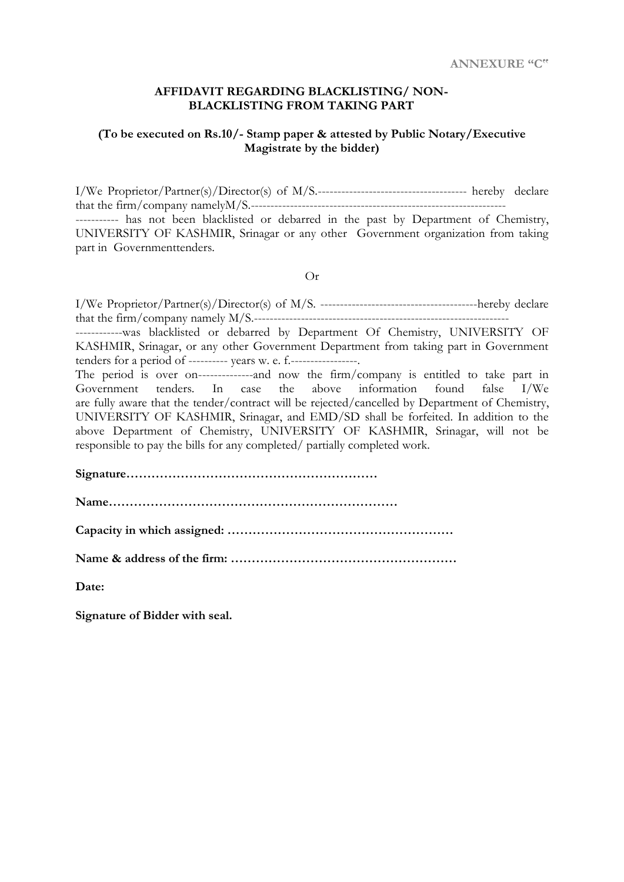#### **AFFIDAVIT REGARDING BLACKLISTING/ NON-BLACKLISTING FROM TAKING PART**

### **(To be executed on Rs.10/- Stamp paper & attested by Public Notary/Executive Magistrate by the bidder)**

I/We Proprietor/Partner(s)/Director(s) of M/S.-------------------------------------- hereby declare that the firm/company namelyM/S.----------------------------------------------------------------- ---------- has not been blacklisted or debarred in the past by Department of Chemistry, UNIVERSITY OF KASHMIR, Srinagar or any other Government organization from taking part in Governmenttenders.

Or

| -------------was blacklisted or debarred by Department Of Chemistry, UNIVERSITY OF              |
|-------------------------------------------------------------------------------------------------|
| KASHMIR, Srinagar, or any other Government Department from taking part in Government            |
| tenders for a period of ---------- years w. e. f.-----------------.                             |
| The period is over on----------------and now the firm/company is entitled to take part in       |
| Government tenders. In case the above information found false I/We                              |
| are fully aware that the tender/contract will be rejected/cancelled by Department of Chemistry, |
| UNIVERSITY OF KASHMIR, Srinagar, and EMD/SD shall be forfeited. In addition to the              |
| above Department of Chemistry, UNIVERSITY OF KASHMIR, Srinagar, will not be                     |
| responsible to pay the bills for any completed/ partially completed work.                       |
|                                                                                                 |
|                                                                                                 |
|                                                                                                 |
|                                                                                                 |
|                                                                                                 |
|                                                                                                 |
|                                                                                                 |
|                                                                                                 |
| Date:                                                                                           |

**Signature of Bidder with seal.**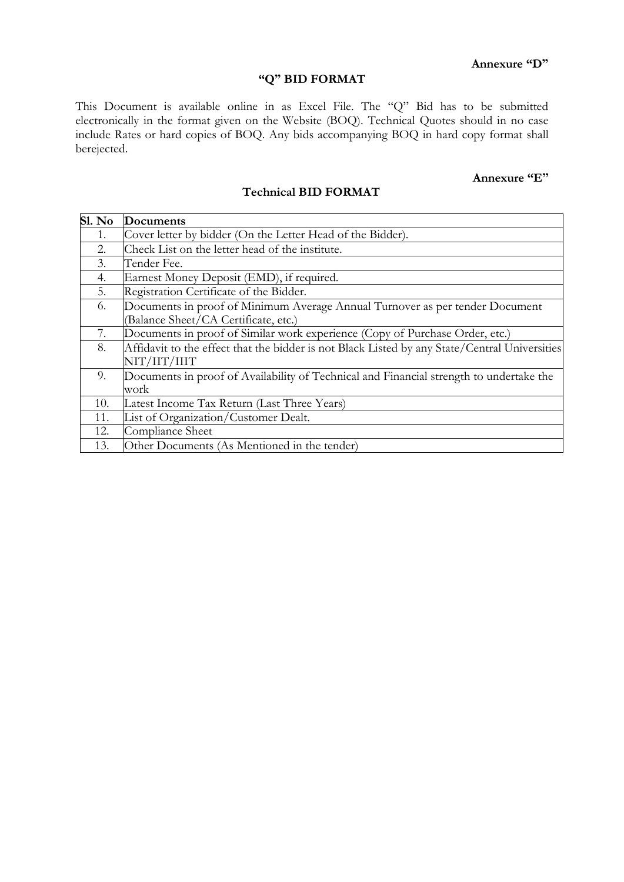## **"Q" BID FORMAT**

This Document is available online in as Excel File. The "Q" Bid has to be submitted electronically in the format given on the Website (BOQ). Technical Quotes should in no case include Rates or hard copies of BOQ. Any bids accompanying BOQ in hard copy format shall berejected.

## **Annexure "E"**

### **Technical BID FORMAT**

| $\overline{\text{S1. No}}$ | Documents                                                                                     |
|----------------------------|-----------------------------------------------------------------------------------------------|
| 1.                         | Cover letter by bidder (On the Letter Head of the Bidder).                                    |
| 2.                         | Check List on the letter head of the institute.                                               |
| 3.                         | Tender Fee.                                                                                   |
| 4.                         | Earnest Money Deposit (EMD), if required.                                                     |
| 5.                         | Registration Certificate of the Bidder.                                                       |
| 6.                         | Documents in proof of Minimum Average Annual Turnover as per tender Document                  |
|                            | (Balance Sheet/CA Certificate, etc.)                                                          |
| 7.                         | Documents in proof of Similar work experience (Copy of Purchase Order, etc.)                  |
| 8.                         | Affidavit to the effect that the bidder is not Black Listed by any State/Central Universities |
|                            | NIT/IIT/IIIT                                                                                  |
| 9.                         | Documents in proof of Availability of Technical and Financial strength to undertake the       |
|                            | work                                                                                          |
| 10.                        | Latest Income Tax Return (Last Three Years)                                                   |
| 11.                        | List of Organization/Customer Dealt.                                                          |
| 12.                        | Compliance Sheet                                                                              |
| 13.                        | Other Documents (As Mentioned in the tender)                                                  |

### **Annexure "D"**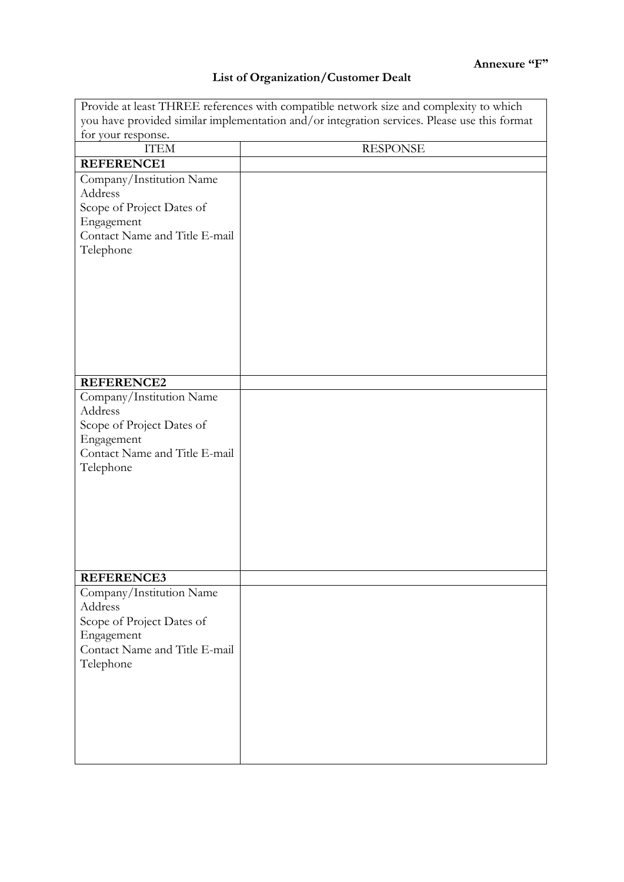## **List of Organization/Customer Dealt**

| Provide at least THREE references with compatible network size and complexity to which       |                 |  |  |  |  |
|----------------------------------------------------------------------------------------------|-----------------|--|--|--|--|
| you have provided similar implementation and/or integration services. Please use this format |                 |  |  |  |  |
| for your response.                                                                           |                 |  |  |  |  |
| <b>ITEM</b>                                                                                  | <b>RESPONSE</b> |  |  |  |  |
| <b>REFERENCE1</b>                                                                            |                 |  |  |  |  |
| Company/Institution Name                                                                     |                 |  |  |  |  |
| Address                                                                                      |                 |  |  |  |  |
| Scope of Project Dates of                                                                    |                 |  |  |  |  |
| Engagement                                                                                   |                 |  |  |  |  |
| Contact Name and Title E-mail                                                                |                 |  |  |  |  |
| Telephone                                                                                    |                 |  |  |  |  |
|                                                                                              |                 |  |  |  |  |
|                                                                                              |                 |  |  |  |  |
|                                                                                              |                 |  |  |  |  |
|                                                                                              |                 |  |  |  |  |
|                                                                                              |                 |  |  |  |  |
|                                                                                              |                 |  |  |  |  |
|                                                                                              |                 |  |  |  |  |
|                                                                                              |                 |  |  |  |  |
| <b>REFERENCE2</b>                                                                            |                 |  |  |  |  |
| Company/Institution Name                                                                     |                 |  |  |  |  |
| Address                                                                                      |                 |  |  |  |  |
| Scope of Project Dates of                                                                    |                 |  |  |  |  |
| Engagement                                                                                   |                 |  |  |  |  |
| Contact Name and Title E-mail                                                                |                 |  |  |  |  |
| Telephone                                                                                    |                 |  |  |  |  |
|                                                                                              |                 |  |  |  |  |
|                                                                                              |                 |  |  |  |  |
|                                                                                              |                 |  |  |  |  |
|                                                                                              |                 |  |  |  |  |
|                                                                                              |                 |  |  |  |  |
|                                                                                              |                 |  |  |  |  |
|                                                                                              |                 |  |  |  |  |
| <b>REFERENCE3</b>                                                                            |                 |  |  |  |  |
| Company/Institution Name                                                                     |                 |  |  |  |  |
| Address                                                                                      |                 |  |  |  |  |
| Scope of Project Dates of                                                                    |                 |  |  |  |  |
| Engagement                                                                                   |                 |  |  |  |  |
| Contact Name and Title E-mail                                                                |                 |  |  |  |  |
| Telephone                                                                                    |                 |  |  |  |  |
|                                                                                              |                 |  |  |  |  |
|                                                                                              |                 |  |  |  |  |
|                                                                                              |                 |  |  |  |  |
|                                                                                              |                 |  |  |  |  |
|                                                                                              |                 |  |  |  |  |
|                                                                                              |                 |  |  |  |  |